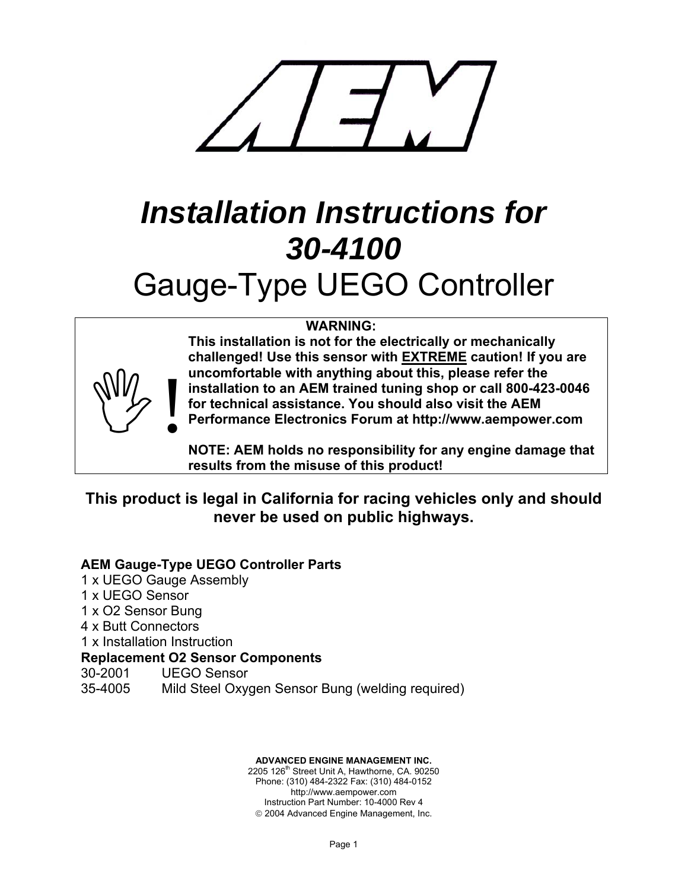

# *Installation Instructions for 30-4100*  Gauge-Type UEGO Controller

#### **WARNING:**



**This installation is not for the electrically or mechanically challenged! Use this sensor with EXTREME caution! If you are uncomfortable with anything about this, please refer the installation to an AEM trained tuning shop or call 800-423-0046 for technical assistance. You should also visit the AEM Performance Electronics Forum at http://www.aempower.com** 

**NOTE: AEM holds no responsibility for any engine damage that results from the misuse of this product!**

# **This product is legal in California for racing vehicles only and should never be used on public highways.**

## **AEM Gauge-Type UEGO Controller Parts**

1 x UEGO Gauge Assembly 1 x UEGO Sensor 1 x O2 Sensor Bung 4 x Butt Connectors 1 x Installation Instruction **Replacement O2 Sensor Components**  30-2001 UEGO Sensor 35-4005 Mild Steel Oxygen Sensor Bung (welding required)

> **ADVANCED ENGINE MANAGEMENT INC.**  2205 126<sup>th</sup> Street Unit A, Hawthorne, CA. 90250 Phone: (310) 484-2322 Fax: (310) 484-0152 http://www.aempower.com Instruction Part Number: 10-4000 Rev 4 © 2004 Advanced Engine Management, Inc.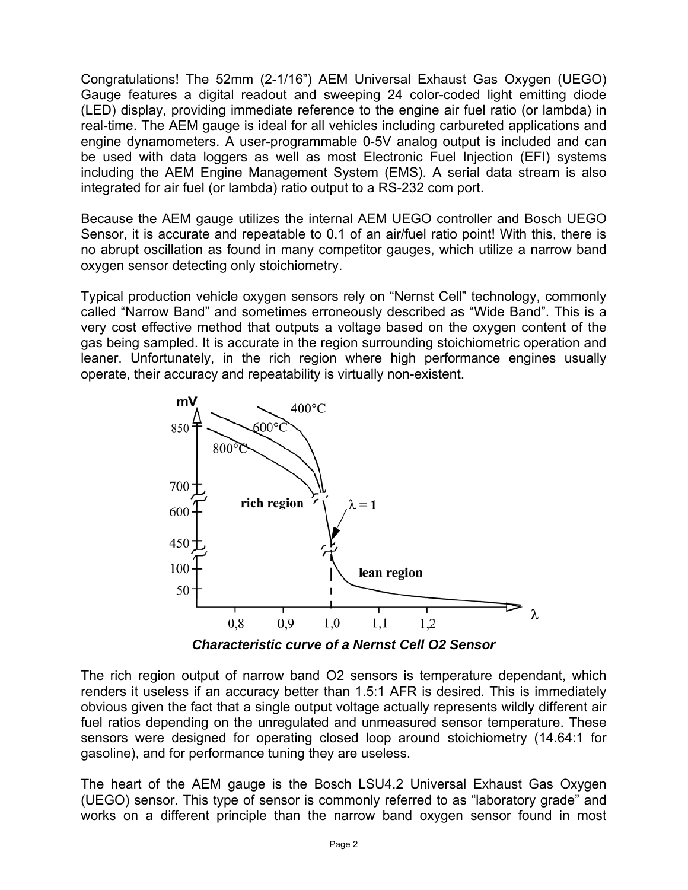Congratulations! The 52mm (2-1/16") AEM Universal Exhaust Gas Oxygen (UEGO) Gauge features a digital readout and sweeping 24 color-coded light emitting diode (LED) display, providing immediate reference to the engine air fuel ratio (or lambda) in real-time. The AEM gauge is ideal for all vehicles including carbureted applications and engine dynamometers. A user-programmable 0-5V analog output is included and can be used with data loggers as well as most Electronic Fuel Injection (EFI) systems including the AEM Engine Management System (EMS). A serial data stream is also integrated for air fuel (or lambda) ratio output to a RS-232 com port.

Because the AEM gauge utilizes the internal AEM UEGO controller and Bosch UEGO Sensor, it is accurate and repeatable to 0.1 of an air/fuel ratio point! With this, there is no abrupt oscillation as found in many competitor gauges, which utilize a narrow band oxygen sensor detecting only stoichiometry.

Typical production vehicle oxygen sensors rely on "Nernst Cell" technology, commonly called "Narrow Band" and sometimes erroneously described as "Wide Band". This is a very cost effective method that outputs a voltage based on the oxygen content of the gas being sampled. It is accurate in the region surrounding stoichiometric operation and leaner. Unfortunately, in the rich region where high performance engines usually operate, their accuracy and repeatability is virtually non-existent.



*Characteristic curve of a Nernst Cell O2 Sensor* 

The rich region output of narrow band O2 sensors is temperature dependant, which renders it useless if an accuracy better than 1.5:1 AFR is desired. This is immediately obvious given the fact that a single output voltage actually represents wildly different air fuel ratios depending on the unregulated and unmeasured sensor temperature. These sensors were designed for operating closed loop around stoichiometry (14.64:1 for gasoline), and for performance tuning they are useless.

The heart of the AEM gauge is the Bosch LSU4.2 Universal Exhaust Gas Oxygen (UEGO) sensor. This type of sensor is commonly referred to as "laboratory grade" and works on a different principle than the narrow band oxygen sensor found in most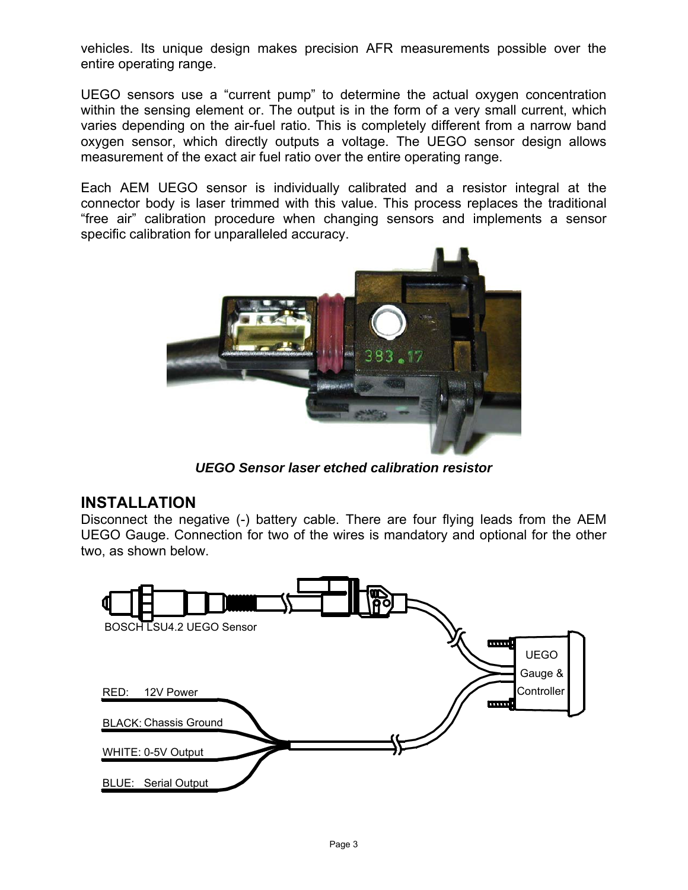vehicles. Its unique design makes precision AFR measurements possible over the entire operating range.

UEGO sensors use a "current pump" to determine the actual oxygen concentration within the sensing element or. The output is in the form of a very small current, which varies depending on the air-fuel ratio. This is completely different from a narrow band oxygen sensor, which directly outputs a voltage. The UEGO sensor design allows measurement of the exact air fuel ratio over the entire operating range.

Each AEM UEGO sensor is individually calibrated and a resistor integral at the connector body is laser trimmed with this value. This process replaces the traditional "free air" calibration procedure when changing sensors and implements a sensor specific calibration for unparalleled accuracy.



*UEGO Sensor laser etched calibration resistor* 

# **INSTALLATION**

Disconnect the negative (-) battery cable. There are four flying leads from the AEM UEGO Gauge. Connection for two of the wires is mandatory and optional for the other two, as shown below.

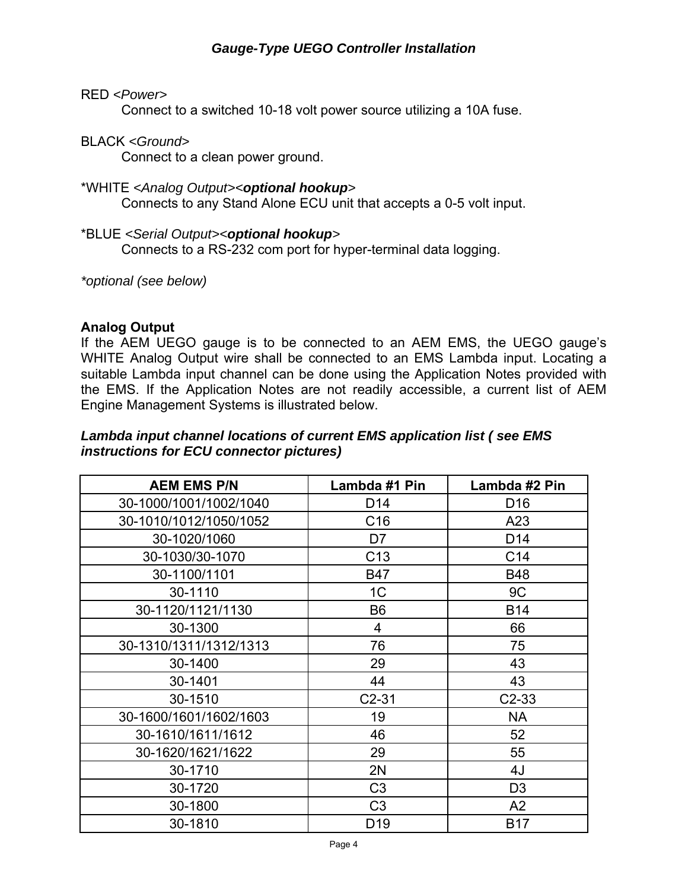## RED *<Power>*

Connect to a switched 10-18 volt power source utilizing a 10A fuse.

## BLACK *<Ground>*

Connect to a clean power ground.

#### \*WHITE *<Analog Output><optional hookup>*

Connects to any Stand Alone ECU unit that accepts a 0-5 volt input.

#### \*BLUE *<Serial Output><optional hookup>*

Connects to a RS-232 com port for hyper-terminal data logging.

*\*optional (see below)*

#### **Analog Output**

If the AEM UEGO gauge is to be connected to an AEM EMS, the UEGO gauge's WHITE Analog Output wire shall be connected to an EMS Lambda input. Locating a suitable Lambda input channel can be done using the Application Notes provided with the EMS. If the Application Notes are not readily accessible, a current list of AEM Engine Management Systems is illustrated below.

#### *Lambda input channel locations of current EMS application list ( see EMS instructions for ECU connector pictures)*

| <b>AEM EMS P/N</b>     | Lambda #1 Pin   | Lambda #2 Pin   |
|------------------------|-----------------|-----------------|
| 30-1000/1001/1002/1040 | D <sub>14</sub> | D <sub>16</sub> |
| 30-1010/1012/1050/1052 | C <sub>16</sub> | A23             |
| 30-1020/1060           | D7              | D <sub>14</sub> |
| 30-1030/30-1070        | C <sub>13</sub> | C <sub>14</sub> |
| 30-1100/1101           | <b>B47</b>      | <b>B48</b>      |
| 30-1110                | 1 <sup>C</sup>  | 9C              |
| 30-1120/1121/1130      | B <sub>6</sub>  | <b>B14</b>      |
| 30-1300                | 4               | 66              |
| 30-1310/1311/1312/1313 | 76              | 75              |
| 30-1400                | 29              | 43              |
| 30-1401                | 44              | 43              |
| 30-1510                | $C2-31$         | $C2-33$         |
| 30-1600/1601/1602/1603 | 19              | <b>NA</b>       |
| 30-1610/1611/1612      | 46              | 52              |
| 30-1620/1621/1622      | 29              | 55              |
| 30-1710                | 2N              | 4J              |
| 30-1720                | C <sub>3</sub>  | D <sub>3</sub>  |
| 30-1800                | C <sub>3</sub>  | A <sub>2</sub>  |
| 30-1810                | D <sub>19</sub> | <b>B17</b>      |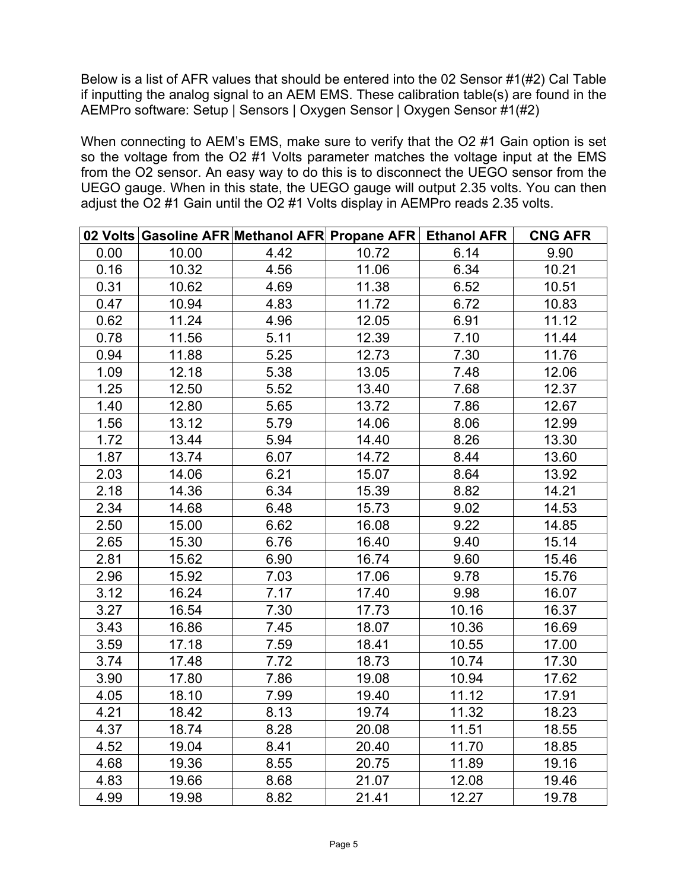Below is a list of AFR values that should be entered into the 02 Sensor #1(#2) Cal Table if inputting the analog signal to an AEM EMS. These calibration table(s) are found in the AEMPro software: Setup | Sensors | Oxygen Sensor | Oxygen Sensor #1(#2)

When connecting to AEM's EMS, make sure to verify that the O2 #1 Gain option is set so the voltage from the O2 #1 Volts parameter matches the voltage input at the EMS from the O2 sensor. An easy way to do this is to disconnect the UEGO sensor from the UEGO gauge. When in this state, the UEGO gauge will output 2.35 volts. You can then adjust the O2 #1 Gain until the O2 #1 Volts display in AEMPro reads 2.35 volts.

|      |       | 02 Volts Gasoline AFR Methanol AFR Propane AFR   Ethanol AFR |       |       | <b>CNG AFR</b> |
|------|-------|--------------------------------------------------------------|-------|-------|----------------|
| 0.00 | 10.00 | 4.42                                                         | 10.72 | 6.14  | 9.90           |
| 0.16 | 10.32 | 4.56                                                         | 11.06 | 6.34  | 10.21          |
| 0.31 | 10.62 | 4.69                                                         | 11.38 | 6.52  | 10.51          |
| 0.47 | 10.94 | 4.83                                                         | 11.72 | 6.72  | 10.83          |
| 0.62 | 11.24 | 4.96                                                         | 12.05 | 6.91  | 11.12          |
| 0.78 | 11.56 | 5.11                                                         | 12.39 | 7.10  | 11.44          |
| 0.94 | 11.88 | 5.25                                                         | 12.73 | 7.30  | 11.76          |
| 1.09 | 12.18 | 5.38                                                         | 13.05 | 7.48  | 12.06          |
| 1.25 | 12.50 | 5.52                                                         | 13.40 | 7.68  | 12.37          |
| 1.40 | 12.80 | 5.65                                                         | 13.72 | 7.86  | 12.67          |
| 1.56 | 13.12 | 5.79                                                         | 14.06 | 8.06  | 12.99          |
| 1.72 | 13.44 | 5.94                                                         | 14.40 | 8.26  | 13.30          |
| 1.87 | 13.74 | 6.07                                                         | 14.72 | 8.44  | 13.60          |
| 2.03 | 14.06 | 6.21                                                         | 15.07 | 8.64  | 13.92          |
| 2.18 | 14.36 | 6.34                                                         | 15.39 | 8.82  | 14.21          |
| 2.34 | 14.68 | 6.48                                                         | 15.73 | 9.02  | 14.53          |
| 2.50 | 15.00 | 6.62                                                         | 16.08 | 9.22  | 14.85          |
| 2.65 | 15.30 | 6.76                                                         | 16.40 | 9.40  | 15.14          |
| 2.81 | 15.62 | 6.90                                                         | 16.74 | 9.60  | 15.46          |
| 2.96 | 15.92 | 7.03                                                         | 17.06 | 9.78  | 15.76          |
| 3.12 | 16.24 | 7.17                                                         | 17.40 | 9.98  | 16.07          |
| 3.27 | 16.54 | 7.30                                                         | 17.73 | 10.16 | 16.37          |
| 3.43 | 16.86 | 7.45                                                         | 18.07 | 10.36 | 16.69          |
| 3.59 | 17.18 | 7.59                                                         | 18.41 | 10.55 | 17.00          |
| 3.74 | 17.48 | 7.72                                                         | 18.73 | 10.74 | 17.30          |
| 3.90 | 17.80 | 7.86                                                         | 19.08 | 10.94 | 17.62          |
| 4.05 | 18.10 | 7.99                                                         | 19.40 | 11.12 | 17.91          |
| 4.21 | 18.42 | 8.13                                                         | 19.74 | 11.32 | 18.23          |
| 4.37 | 18.74 | 8.28                                                         | 20.08 | 11.51 | 18.55          |
| 4.52 | 19.04 | 8.41                                                         | 20.40 | 11.70 | 18.85          |
| 4.68 | 19.36 | 8.55                                                         | 20.75 | 11.89 | 19.16          |
| 4.83 | 19.66 | 8.68                                                         | 21.07 | 12.08 | 19.46          |
| 4.99 | 19.98 | 8.82                                                         | 21.41 | 12.27 | 19.78          |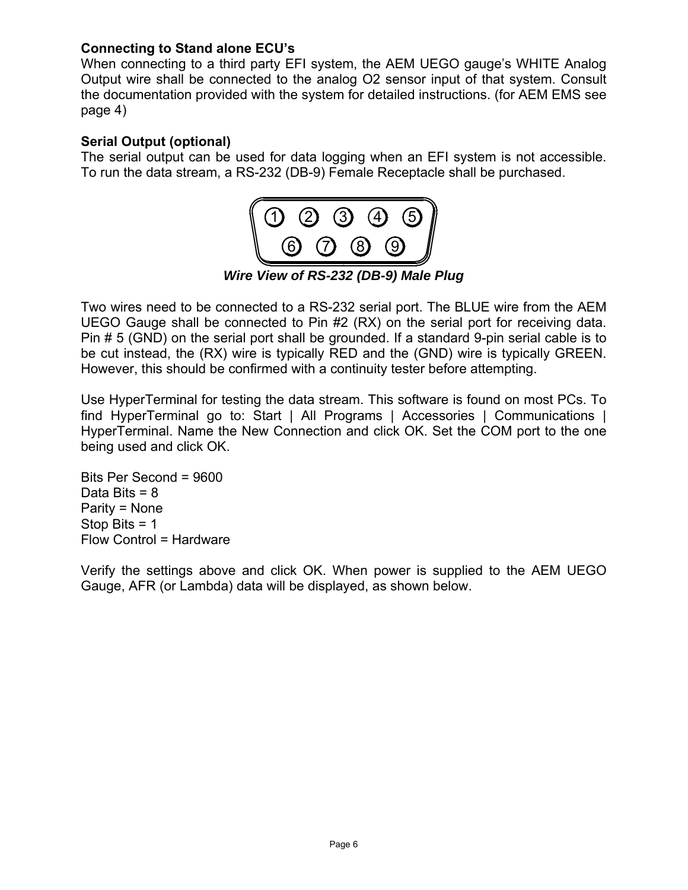## **Connecting to Stand alone ECU's**

When connecting to a third party EFI system, the AEM UEGO gauge's WHITE Analog Output wire shall be connected to the analog O2 sensor input of that system. Consult the documentation provided with the system for detailed instructions. (for AEM EMS see page 4)

## **Serial Output (optional)**

The serial output can be used for data logging when an EFI system is not accessible. To run the data stream, a RS-232 (DB-9) Female Receptacle shall be purchased.



Two wires need to be connected to a RS-232 serial port. The BLUE wire from the AEM UEGO Gauge shall be connected to Pin #2 (RX) on the serial port for receiving data. Pin # 5 (GND) on the serial port shall be grounded. If a standard 9-pin serial cable is to be cut instead, the (RX) wire is typically RED and the (GND) wire is typically GREEN. However, this should be confirmed with a continuity tester before attempting.

Use HyperTerminal for testing the data stream. This software is found on most PCs. To find HyperTerminal go to: Start | All Programs | Accessories | Communications | HyperTerminal. Name the New Connection and click OK. Set the COM port to the one being used and click OK.

Bits Per Second = 9600 Data Bits  $= 8$ Parity = None Stop Bits = 1 Flow Control = Hardware

Verify the settings above and click OK. When power is supplied to the AEM UEGO Gauge, AFR (or Lambda) data will be displayed, as shown below.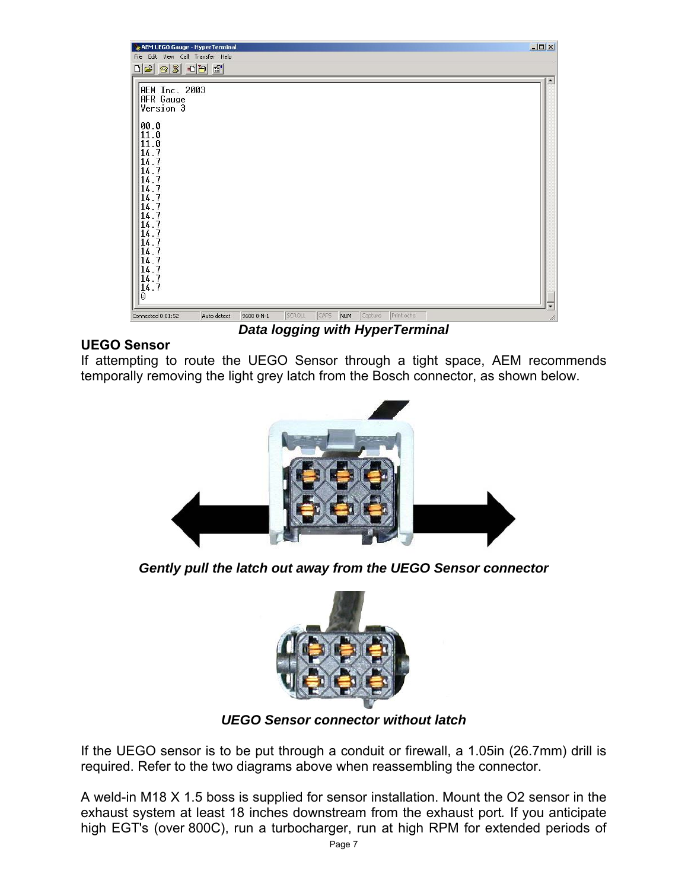

# **UEGO Sensor**

If attempting to route the UEGO Sensor through a tight space, AEM recommends temporally removing the light grey latch from the Bosch connector, as shown below.



*Gently pull the latch out away from the UEGO Sensor connector*



*UEGO Sensor connector without latch* 

If the UEGO sensor is to be put through a conduit or firewall, a 1.05in (26.7mm) drill is required. Refer to the two diagrams above when reassembling the connector.

A weld-in M18 X 1.5 boss is supplied for sensor installation. Mount the O2 sensor in the exhaust system at least 18 inches downstream from the exhaust port*.* If you anticipate high EGT's (over 800C), run a turbocharger, run at high RPM for extended periods of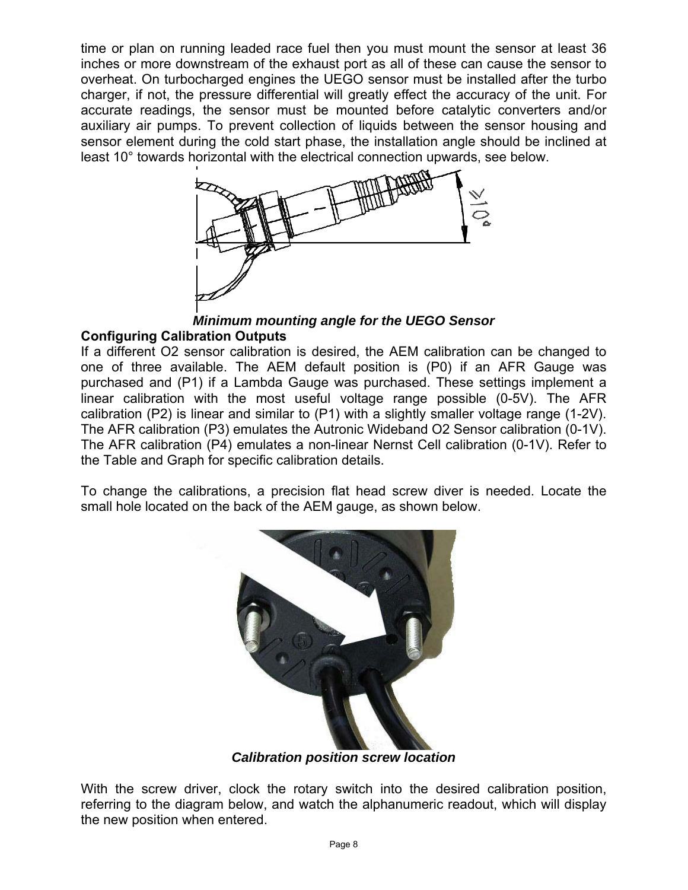time or plan on running leaded race fuel then you must mount the sensor at least 36 inches or more downstream of the exhaust port as all of these can cause the sensor to overheat. On turbocharged engines the UEGO sensor must be installed after the turbo charger, if not, the pressure differential will greatly effect the accuracy of the unit. For accurate readings, the sensor must be mounted before catalytic converters and/or auxiliary air pumps. To prevent collection of liquids between the sensor housing and sensor element during the cold start phase, the installation angle should be inclined at least 10° towards horizontal with the electrical connection upwards, see below.



*Minimum mounting angle for the UEGO Sensor* 

# **Configuring Calibration Outputs**

If a different O2 sensor calibration is desired, the AEM calibration can be changed to one of three available. The AEM default position is (P0) if an AFR Gauge was purchased and (P1) if a Lambda Gauge was purchased. These settings implement a linear calibration with the most useful voltage range possible (0-5V). The AFR calibration (P2) is linear and similar to (P1) with a slightly smaller voltage range (1-2V). The AFR calibration (P3) emulates the Autronic Wideband O2 Sensor calibration (0-1V). The AFR calibration (P4) emulates a non-linear Nernst Cell calibration (0-1V). Refer to the Table and Graph for specific calibration details.

To change the calibrations, a precision flat head screw diver is needed. Locate the small hole located on the back of the AEM gauge, as shown below.



*Calibration position screw location* 

With the screw driver, clock the rotary switch into the desired calibration position, referring to the diagram below, and watch the alphanumeric readout, which will display the new position when entered.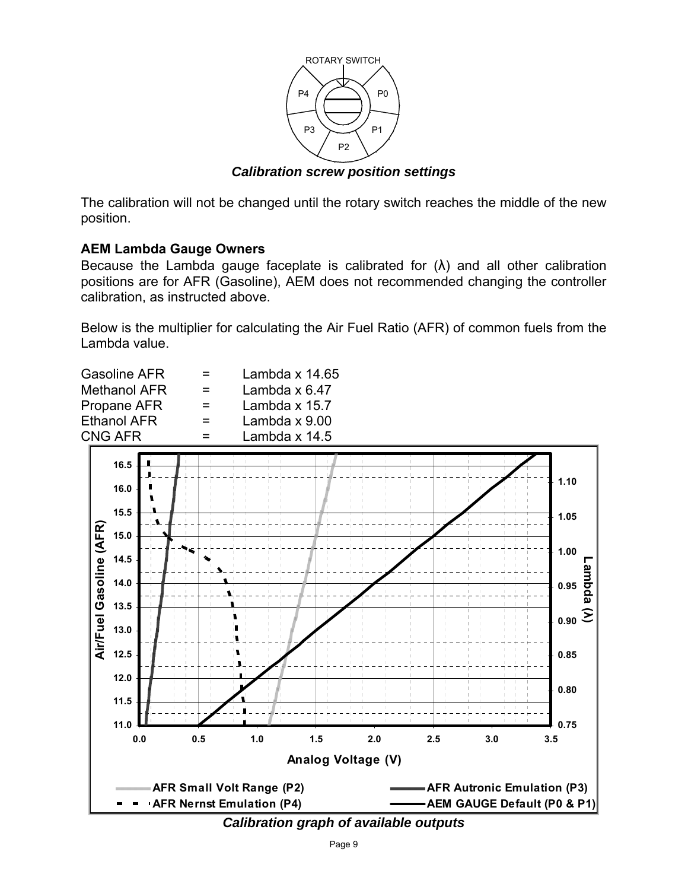

*Calibration screw position settings* 

The calibration will not be changed until the rotary switch reaches the middle of the new position.

# **AEM Lambda Gauge Owners**

Because the Lambda gauge faceplate is calibrated for  $(\lambda)$  and all other calibration positions are for AFR (Gasoline), AEM does not recommended changing the controller calibration, as instructed above.

Below is the multiplier for calculating the Air Fuel Ratio (AFR) of common fuels from the Lambda value.



*Calibration graph of available outputs*